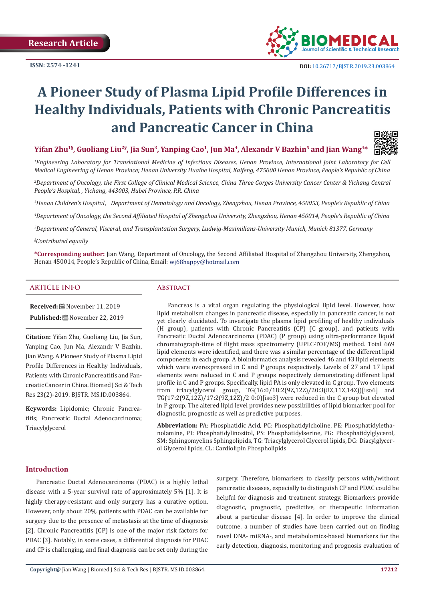

# **A Pioneer Study of Plasma Lipid Profile Differences in Healthy Individuals, Patients with Chronic Pancreatitis and Pancreatic Cancer in China**



*1 Engineering Laboratory for Translational Medicine of Infectious Diseases, Henan Province, International Joint Laboratory for Cell Medical Engineering of Henan Province; Henan University Huaihe Hospital, Kaifeng, 475000 Henan Province, People's Republic of China* 

*2 Department of Oncology, the First College of Clinical Medical Science, China Three Gorges University Cancer Center & Yichang Central People's Hospital, , Yichang, 443003, Hubei Province, P.R. China*

*3 Henan Children's Hospital*,*Department of Hematology and Oncology, Zhengzhou, Henan Province, 450053, People's Republic of China* 

*4 Department of Oncology, the Second Affiliated Hospital of Zhengzhou University, Zhengzhou, Henan 450014, People's Republic of China* 

*5 Department of General, Visceral, and Transplantation Surgery, Ludwig-Maximilians-University Munich, Munich 81377, Germany*

#### *§ Contributed equally*

**\*Corresponding author:** Jian Wang, Department of Oncology, the Second Affiliated Hospital of Zhengzhou University, Zhengzhou, Henan 450014, People's Republic of China, Email: wj68happy@hotmail.com

### **ARTICLE INFO Abstract**

**Received:** November 11, 2019 **Published:** November 22, 2019

**Citation:** Yifan Zhu, Guoliang Liu, Jia Sun, Yanping Cao, Jun Ma, Alexandr V Bazhin, Jian Wang. A Pioneer Study of Plasma Lipid Profile Differences in Healthy Individuals, Patients with Chronic Pancreatitis and Pancreatic Cancer in China. Biomed J Sci & Tech Res 23(2)-2019. BJSTR. MS.ID.003864.

**Keywords:** Lipidomic; Chronic Pancreatitis; Pancreatic Ductal Adenocarcinoma; Triacylglycerol

Pancreas is a vital organ regulating the physiological lipid level. However, how lipid metabolism changes in pancreatic disease, especially in pancreatic cancer, is not yet clearly elucidated. To investigate the plasma lipid profiling of healthy individuals (H group), patients with Chronic Pancreatitis (CP) (C group), and patients with Pancreatic Ductal Adenocarcinoma (PDAC) (P group) using ultra-performance liquid chromatograph-time of flight mass spectrometry (UPLC-TOF/MS) method. Total 669 lipid elements were identified, and there was a similar percentage of the different lipid components in each group. A bioinformatics analysis revealed 46 and 43 lipid elements which were overexpressed in C and P groups respectively. Levels of 27 and 17 lipid elements were reduced in C and P groups respectively demonstrating different lipid profile in C and P groups. Specifically, lipid PA is only elevated in C group. Two elements from triacylglycerol group, TG(16:0/18:2(9Z,12Z)/20:3(8Z,11Z,14Z))[iso6] and TG(17:2(9Z,12Z)/17:2(9Z,12Z)/2 0:0)[iso3] were reduced in the C group but elevated in P group. The altered lipid level provides new possibilities of lipid biomarker pool for diagnostic, prognostic as well as predictive purposes.

**Abbreviation:** PA: Phosphatidic Acid, PC: Phosphatidylcholine, PE: Phosphatidylethanolamine, PI: Phosphatidylinositol, PS: Phosphatidylserine, PG: Phosphatidylglycerol, SM: Sphingomyelins Sphingolipids, TG: Triacylglycerol Glycerol lipids, DG: Diacylglycerol Glycerol lipids, CL: Cardiolipin Phospholipids

#### **Introduction**

Pancreatic Ductal Adenocarcinoma (PDAC) is a highly lethal disease with a 5-year survival rate of approximately 5% [1]. It is highly therapy-resistant and only surgery has a curative option. However, only about 20% patients with PDAC can be available for surgery due to the presence of metastasis at the time of diagnosis [2]. Chronic Pancreatitis (CP) is one of the major risk factors for PDAC [3]. Notably, in some cases, a differential diagnosis for PDAC and CP is challenging, and final diagnosis can be set only during the surgery. Therefore, biomarkers to classify persons with/without pancreatic diseases, especially to distinguish CP and PDAC could be helpful for diagnosis and treatment strategy. Biomarkers provide diagnostic, prognostic, predictive, or therapeutic information about a particular disease [4]. In order to improve the clinical outcome, a number of studies have been carried out on finding novel DNA- miRNA-, and metabolomics-based biomarkers for the early detection, diagnosis, monitoring and prognosis evaluation of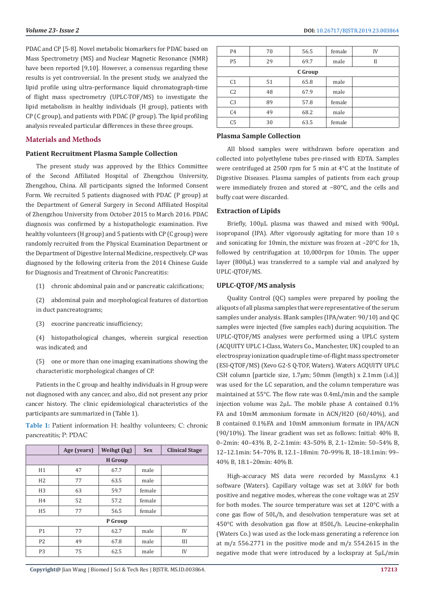PDAC and CP [5-8]. Novel metabolic biomarkers for PDAC based on Mass Spectrometry (MS) and Nuclear Magnetic Resonance (NMR) have been reported [9,10]. However, a consensus regarding these results is yet controversial. In the present study, we analyzed the lipid profile using ultra-performance liquid chromatograph-time of flight mass spectrometry (UPLC-TOF/MS) to investigate the lipid metabolism in healthy individuals (H group), patients with CP (C group), and patients with PDAC (P group). The lipid profiling analysis revealed particular differences in these three groups.

### **Materials and Methods**

#### **Patient Recruitment Plasma Sample Collection**

The present study was approved by the Ethics Committee of the Second Affiliated Hospital of Zhengzhou University, Zhengzhou, China. All participants signed the Informed Consent Form. We recruited 5 patients diagnosed with PDAC (P group) at the Department of General Surgery in Second Affiliated Hospital of Zhengzhou University from October 2015 to March 2016. PDAC diagnosis was confirmed by a histopathologic examination. Five healthy volunteers (H group) and 5 patients with CP (C group) were randomly recruited from the Physical Examination Department or the Department of Digestive Internal Medicine, respectively. CP was diagnosed by the following criteria from the 2014 Chinese Guide for Diagnosis and Treatment of Chronic Pancreatitis:

(1) chronic abdominal pain and or pancreatic calcifications;

(2) abdominal pain and morphological features of distortion in duct pancreatograms;

(3) exocrine pancreatic insufficiency;

(4) histopathological changes, wherein surgical resection was indicated; and

(5) one or more than one imaging examinations showing the characteristic morphological changes of CP.

Patients in the C group and healthy individuals in H group were not diagnosed with any cancer, and also, did not present any prior cancer history. The clinic epidemiological characteristics of the participants are summarized in (Table 1).

**Table 1:** Patient information H: healthy volunteers; C: chronic pancreatitis; P: PDAC

|                | Age (years) | Weihgt (kg) | <b>Sex</b> | <b>Clinical Stage</b> |  |
|----------------|-------------|-------------|------------|-----------------------|--|
| <b>H</b> Group |             |             |            |                       |  |
| H1             | 47          | 67.7        | male       |                       |  |
| H <sub>2</sub> | 77          | 63.5        | male       |                       |  |
| H <sub>3</sub> | 63          | 59.7        | female     |                       |  |
| H <sub>4</sub> | 52          | 57.2        | female     |                       |  |
| H <sub>5</sub> | 77          | 56.5        | female     |                       |  |
| P Group        |             |             |            |                       |  |
| P <sub>1</sub> | 77          | 62.7        | male       | IV                    |  |
| P <sub>2</sub> | 49          | 67.8        | male       | III                   |  |
| P <sub>3</sub> | 75          | 62.5        | male       | IV                    |  |

| <b>P4</b>      | 70 | 56.5 | female | IV |  |
|----------------|----|------|--------|----|--|
| P <sub>5</sub> | 29 | 69.7 | male   | Н  |  |
| C Group        |    |      |        |    |  |
| C <sub>1</sub> | 51 | 65.8 | male   |    |  |
| C <sub>2</sub> | 48 | 67.9 | male   |    |  |
| C <sub>3</sub> | 89 | 57.8 | female |    |  |
| C <sub>4</sub> | 49 | 68.2 | male   |    |  |
| C <sub>5</sub> | 30 | 63.5 | female |    |  |

### **Plasma Sample Collection**

All blood samples were withdrawn before operation and collected into polyethylene tubes pre-rinsed with EDTA. Samples were centrifuged at 2500 rpm for 5 min at 4°C at the Institute of Digestive Diseases. Plasma samples of patients from each group were immediately frozen and stored at −80°C, and the cells and buffy coat were discarded.

#### **Extraction of Lipids**

Briefly, 100μL plasma was thawed and mixed with 900μL isopropanol (IPA). After vigorously agitating for more than 10 s and sonicating for 10min, the mixture was frozen at –20°C for 1h, followed by centrifugation at 10,000rpm for 10min. The upper layer (800μL) was transferred to a sample vial and analyzed by UPLC-QTOF/MS.

### **UPLC-QTOF/MS analysis**

Quality Control (QC) samples were prepared by pooling the aliquots of all plasma samples that were representative of the serum samples under analysis. Blank samples (IPA/water: 90/10) and QC samples were injected (five samples each) during acquisition. The UPLC-QTOF/MS analyses were performed using a UPLC system (ACQUITY UPLC I-Class, Waters Co., Manchester, UK) coupled to an electrospray ionization quadruple time-of-flight mass spectrometer (ESI-QTOF/MS) (Xevo G2-S Q-TOF, Waters). Waters ACQUITY UPLC CSH column [particle size, 1.7μm; 50mm (length) x 2.1mm (i.d.)] was used for the LC separation, and the column temperature was maintained at 55°C. The flow rate was 0.4mL/min and the sample injection volume was 2μL. The mobile phase A contained 0.1% FA and 10mM ammonium formate in ACN/H2O (60/40%), and B contained 0.1%FA and 10mM ammonium formate in IPA/ACN (90/10%). The linear gradient was set as follows: Initial: 40% B, 0–2min: 40–43% B, 2–2.1min: 43–50% B, 2.1–12min: 50–54% B, 12–12.1min: 54–70% B, 12.1–18min: 70–99% B, 18–18.1min: 99– 40% B, 18.1–20min: 40% B.

High-accuracy MS data were recorded by MassLynx 4.1 software (Waters). Capillary voltage was set at 3.0kV for both positive and negative modes, whereas the cone voltage was at 25V for both modes. The source temperature was set at 120°C with a cone gas flow of 50L/h, and desolvation temperature was set at 450°C with desolvation gas flow at 850L/h. Leucine-enkephalin (Waters Co.) was used as the lock-mass generating a reference ion at m/z 556.2771 in the positive mode and m/z 554.2615 in the negative mode that were introduced by a lockspray at 5μL/min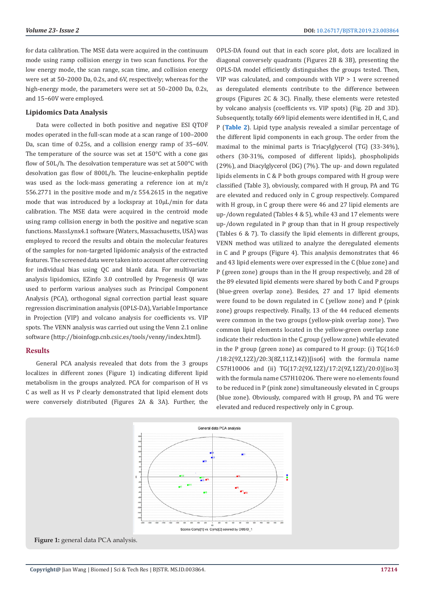for data calibration. The MSE data were acquired in the continuum mode using ramp collision energy in two scan functions. For the low energy mode, the scan range, scan time, and collision energy were set at 50–2000 Da, 0.2s, and 6V, respectively; whereas for the high-energy mode, the parameters were set at 50–2000 Da, 0.2s, and 15−60V were employed.

#### **Lipidomics Data Analysis**

Data were collected in both positive and negative ESI QTOF modes operated in the full-scan mode at a scan range of 100–2000 Da, scan time of 0.25s, and a collision energy ramp of 35−60V. The temperature of the source was set at 150°C with a cone gas flow of 50L/h. The desolvation temperature was set at 500°C with desolvation gas flow of 800L/h. The leucine-enkephalin peptide was used as the lock-mass generating a reference ion at m/z 556.2771 in the positive mode and m/z 554.2615 in the negative mode that was introduced by a lockspray at 10μL/min for data calibration. The MSE data were acquired in the centroid mode using ramp collision energy in both the positive and negative scan functions. MassLynx4.1 software (Waters, Massachusetts, USA) was employed to record the results and obtain the molecular features of the samples for non-targeted lipidomic analysis of the extracted features. The screened data were taken into account after correcting for individual bias using QC and blank data. For multivariate analysis lipidomics, EZinfo 3.0 controlled by Progenesis QI was used to perform various analyses such as Principal Component Analysis (PCA), orthogonal signal correction partial least square regression discrimination analysis (OPLS-DA), Variable Importance in Projection (VIP) and volcano analysis for coefficients vs. VIP spots. The VENN analysis was carried out using the Venn 2.1 online software (http://bioinfogp.cnb.csic.es/tools/venny/index.html).

#### **Results**

General PCA analysis revealed that dots from the 3 groups localizes in different zones (Figure 1) indicating different lipid metabolism in the groups analyzed. PCA for comparison of H vs C as well as H vs P clearly demonstrated that lipid element dots were conversely distributed (Figures 2A & 3A). Further, the OPLS-DA found out that in each score plot, dots are localized in diagonal conversely quadrants (Figures 2B & 3B), presenting the OPLS-DA model efficiently distinguishes the groups tested. Then, VIP was calculated, and compounds with VIP > 1 were screened as deregulated elements contribute to the difference between groups (Figures 2C & 3C). Finally, these elements were retested by volcano analysis (coefficients vs. VIP spots) (Fig. 2D and 3D). Subsequently, totally 669 lipid elements were identified in H.C. and P (**[Table 2](https://biomedres.us/pdfs/BJSTR.MS.ID.003864-Table-2.pdf)**). Lipid type analysis revealed a similar percentage of the different lipid components in each group. The order from the maximal to the minimal parts is Triacylglycerol (TG) (33-34%), others (30-31%, composed of different lipids), phospholipids (29%), and Diacylglycerol (DG) (7%). The up- and down regulated lipids elements in C & P both groups compared with H group were classified (Table 3), obviously, compared with H group, PA and TG are elevated and reduced only in C group respectively. Compared with H group, in C group there were 46 and 27 lipid elements are up-/down regulated (Tables 4 & 5), while 43 and 17 elements were up-/down regulated in P group than that in H group respectively (Tables 6 & 7). To classify the lipid elements in different groups, VENN method was utilized to analyze the deregulated elements in C and P groups (Figure 4). This analysis demonstrates that 46 and 43 lipid elements were over expressed in the C (blue zone) and P (green zone) groups than in the H group respectively, and 28 of the 89 elevated lipid elements were shared by both C and P groups (blue-green overlap zone). Besides, 27 and 17 lipid elements were found to be down regulated in C (yellow zone) and P (pink zone) groups respectively. Finally, 13 of the 44 reduced elements were common in the two groups (yellow-pink overlap zone). Two common lipid elements located in the yellow-green overlap zone indicate their reduction in the C group (yellow zone) while elevated in the P group (green zone) as compared to H group: (i) TG(16:0 /18:2(9Z,12Z)/20:3(8Z,11Z,14Z))[iso6] with the formula name C57H100O6 and (ii) TG(17:2(9Z,12Z)/17:2(9Z,12Z)/20:0)[iso3] with the formula name C57H102O6. There were no elements found to be reduced in P (pink zone) simultaneously elevated in C groups (blue zone). Obviously, compared with H group, PA and TG were elevated and reduced respectively only in C group.



Figure 1: general data PCA analysis.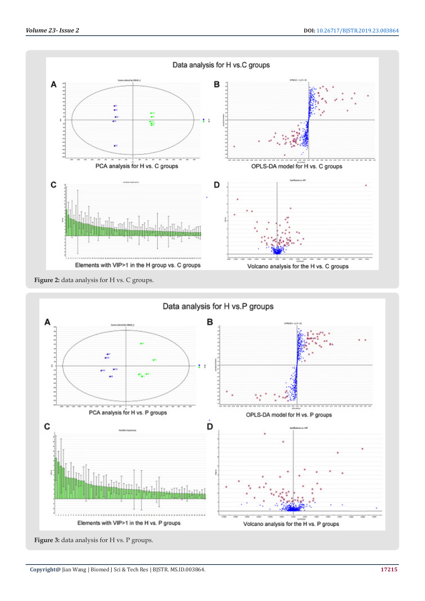

Figure 2: data analysis for H vs. C groups.



Figure 3: data analysis for H vs. P groups.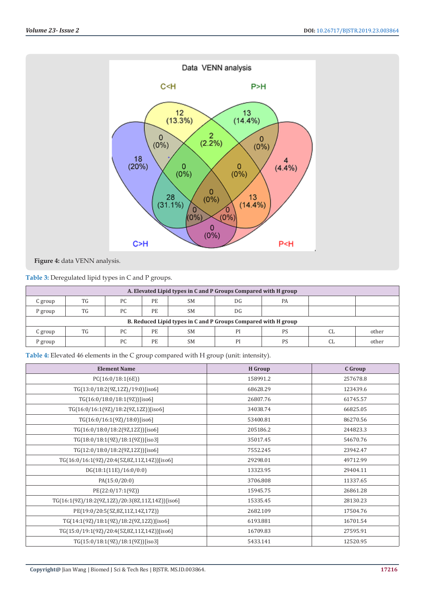

**Figure 4:** data VENN analysis.

**Table 3:** Deregulated lipid types in C and P groups.

| A. Elevated Lipid types in C and P Groups Compared with H group |     |     |           |           |    |           |     |       |
|-----------------------------------------------------------------|-----|-----|-----------|-----------|----|-----------|-----|-------|
| C group                                                         | TG  | PC. | PE        | <b>SM</b> | DG | <b>PA</b> |     |       |
| P group                                                         | TG. | PC. | <b>PE</b> | <b>SM</b> | DG |           |     |       |
| B. Reduced Lipid types in C and P Groups Compared with H group  |     |     |           |           |    |           |     |       |
| C group                                                         | TG  | PC. | <b>PE</b> | <b>SM</b> | PI | <b>PS</b> | CI. | other |
| P group                                                         |     | PC  | PE        | <b>SM</b> | PI | <b>PS</b> |     | other |

**Table 4:** Elevated 46 elements in the C group compared with H group (unit: intensity).

| <b>Element Name</b>                              | <b>H</b> Group | C Group  |
|--------------------------------------------------|----------------|----------|
| PC(16:0/18:1(6E))                                | 158991.2       | 257678.8 |
| TG(13:0/18:2(9Z,12Z)/19:0)[iso6]                 | 68628.29       | 123439.6 |
| TG(16:0/18:0/18:1(9Z))[iso6]                     | 26807.76       | 61745.57 |
| TG(16:0/16:1(9Z)/18:2(9Z,12Z))[iso6]             | 34038.74       | 66825.05 |
| TG(16:0/16:1(9Z)/18:0)[iso6]                     | 53400.81       | 86270.56 |
| TG(16:0/18:0/18:2(9Z,12Z))[iso6]                 | 205186.2       | 244823.3 |
| TG(18:0/18:1(9Z)/18:1(9Z))[iso3]                 | 35017.45       | 54670.76 |
| TG(12:0/18:0/18:2(9Z,12Z))[iso6]                 | 7552.245       | 23942.47 |
| TG(16:0/16:1(9Z)/20:4(5Z,8Z,11Z,14Z))[iso6]      | 29298.01       | 49712.99 |
| DG(18:1(11E)/16:0/0:0)                           | 13323.95       | 29404.11 |
| PA(15:0/20:0)                                    | 3706.808       | 11337.65 |
| PE(22:0/17:1(9Z))                                | 15945.75       | 26861.28 |
| TG(16:1(9Z)/18:2(9Z,12Z)/20:3(8Z,11Z,14Z))[iso6] | 15335.45       | 28130.23 |
| PE(19:0/20:5(5Z,8Z,11Z,14Z,17Z))                 | 2682.109       | 17504.76 |
| TG(14:1(9Z)/18:1(9Z)/18:2(9Z,12Z))[iso6]         | 6193.881       | 16701.54 |
| TG(15:0/19:1(9Z)/20:4(5Z,8Z,11Z,14Z))[iso6]      | 16709.83       | 27595.91 |
| TG(15:0/18:1(9Z)/18:1(9Z))[iso3]                 | 5433.141       | 12520.95 |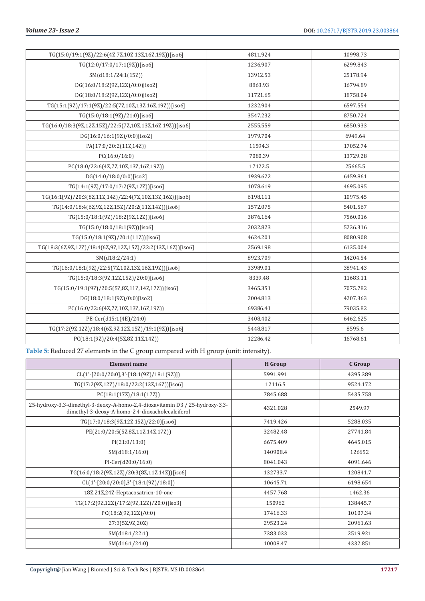| TG(15:0/19:1(9Z)/22:6(4Z,7Z,10Z,13Z,16Z,19Z))[iso6]         | 4811.924 | 10998.73 |
|-------------------------------------------------------------|----------|----------|
| TG(12:0/17:0/17:1(9Z))[iso6]                                | 1236.907 | 6299.843 |
| SM(d18:1/24:1(15Z))                                         | 13912.53 | 25178.94 |
| DG(16:0/18:2(9Z,12Z)/0:0)[iso2]                             | 8863.93  | 16794.89 |
| DG(18:0/18:2(9Z,12Z)/0:0)[iso2]                             | 11721.65 | 18758.04 |
| TG(15:1(9Z)/17:1(9Z)/22:5(7Z,10Z,13Z,16Z,19Z))[iso6]        | 1232.904 | 6597.554 |
| TG(15:0/18:1(9Z)/21:0)[iso6]                                | 3547.232 | 8750.724 |
| TG(16:0/18:3(9Z,12Z,15Z)/22:5(7Z,10Z,13Z,16Z,19Z))[iso6]    | 2555.559 | 6850.933 |
| DG(16:0/16:1(9Z)/0:0)[iso2]                                 | 1979.704 | 6949.64  |
| PA(17:0/20:2(11Z,14Z))                                      | 11594.3  | 17052.74 |
| PC(16:0/16:0)                                               | 7080.39  | 13729.28 |
| PC(18:0/22:6(4Z,7Z,10Z,13Z,16Z,19Z))                        | 17122.5  | 25665.5  |
| DG(14:0/18:0/0:0)[iso2]                                     | 1939.622 | 6459.861 |
| TG(14:1(9Z)/17:0/17:2(9Z,12Z))[iso6]                        | 1078.619 | 4695.095 |
| TG(16:1(9Z)/20:3(8Z,11Z,14Z)/22:4(7Z,10Z,13Z,16Z))[iso6]    | 6198.111 | 10975.45 |
| TG(14:0/18:4(6Z,9Z,12Z,15Z)/20:2(11Z,14Z))[iso6]            | 1572.075 | 5401.567 |
| TG(15:0/18:1(9Z)/18:2(9Z,12Z))[iso6]                        | 3876.164 | 7560.016 |
| TG(15:0/18:0/18:1(9Z))[iso6]                                | 2032.823 | 5236.316 |
| TG(15:0/18:1(9Z)/20:1(11Z))[iso6]                           | 4624.201 | 8080.908 |
| TG(18:3(6Z,9Z,12Z)/18:4(6Z,9Z,12Z,15Z)/22:2(13Z,16Z))[iso6] | 2569.198 | 6135.004 |
| SM(d18:2/24:1)                                              | 8923.709 | 14204.54 |
| TG(16:0/18:1(9Z)/22:5(7Z,10Z,13Z,16Z,19Z))[iso6]            | 33989.01 | 38941.43 |
| TG(15:0/18:3(9Z,12Z,15Z)/20:0)[iso6]                        | 8339.48  | 11683.11 |
| TG(15:0/19:1(9Z)/20:5(5Z,8Z,11Z,14Z,17Z))[iso6]             | 3465.351 | 7075.782 |
| DG(18:0/18:1(9Z)/0:0)[iso2]                                 | 2004.813 | 4207.363 |
| PC(16:0/22:6(4Z,7Z,10Z,13Z,16Z,19Z))                        | 69386.41 | 79035.82 |
| PE-Cer(d15:1(4E)/24:0)                                      | 3408.402 | 6462.625 |
| TG(17:2(9Z,12Z)/18:4(6Z,9Z,12Z,15Z)/19:1(9Z))[iso6]         | 5448.817 | 8595.6   |
| PC(18:1(9Z)/20:4(5Z,8Z,11Z,14Z))                            | 12286.42 | 16768.61 |

**Table 5:** Reduced 27 elements in the C group compared with H group (unit: intensity).

| <b>Element name</b>                                                                                                              | <b>H</b> Group | C Group  |
|----------------------------------------------------------------------------------------------------------------------------------|----------------|----------|
| CL(1'-[20:0/20:0],3'-[18:1(9Z)/18:1(9Z)])                                                                                        | 5991.991       | 4395.389 |
| TG(17:2(9Z,12Z)/18:0/22:2(13Z,16Z))[iso6]                                                                                        | 12116.5        | 9524.172 |
| PC(18:1(17Z)/18:1(17Z))                                                                                                          | 7845.688       | 5435.758 |
| 25-hydroxy-3,3-dimethyl-3-deoxy-A-homo-2,4-dioxavitamin D3 / 25-hydroxy-3,3-<br>dimethyl-3-deoxy-A-homo-2,4-dioxacholecalciferol | 4321.028       | 2549.97  |
| TG(17:0/18:3(9Z,12Z,15Z)/22:0)[iso6]                                                                                             | 7419.426       | 5288.035 |
| PE(21:0/20:5(5Z,8Z,11Z,14Z,17Z))                                                                                                 | 32482.48       | 27741.84 |
| PI(21:0/13:0)                                                                                                                    | 6675.409       | 4645.015 |
| SM(d18:1/16:0)                                                                                                                   | 140908.4       | 126652   |
| $PI-Cer(d20:0/16:0)$                                                                                                             | 8041.043       | 4091.646 |
| TG(16:0/18:2(9Z,12Z)/20:3(8Z,11Z,14Z))[iso6]                                                                                     | 132733.7       | 120841.7 |
| CL(1'-[20:0/20:0],3'-[18:1(9Z)/18:0])                                                                                            | 10645.71       | 6198.654 |
| 18Z,21Z,24Z-Heptacosatrien-10-one                                                                                                | 4457.768       | 1462.36  |
| TG(17:2(9Z,12Z)/17:2(9Z,12Z)/20:0)[iso3]                                                                                         | 150962         | 138445.7 |
| PC(18:2(9Z,12Z)/0:0)                                                                                                             | 17416.33       | 10107.34 |
| 27:3(5Z,9Z,20Z)                                                                                                                  | 29523.24       | 20961.63 |
| SM(d18:1/22:1)                                                                                                                   | 7383.033       | 2519.921 |
| SM(d16:1/24:0)                                                                                                                   | 10008.47       | 4332.851 |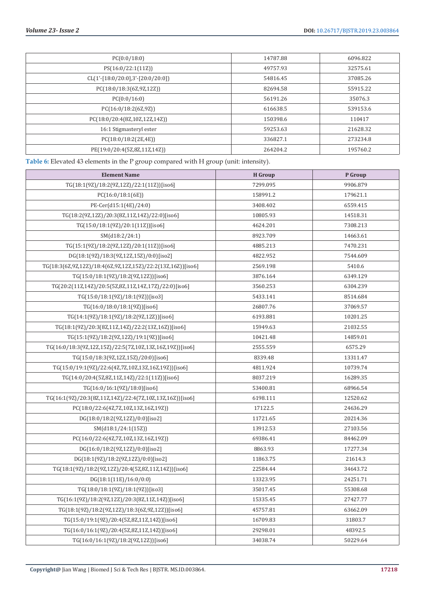| PC(0:0/18:0)                        | 14787.88 | 6096.822 |
|-------------------------------------|----------|----------|
| PS(16:0/22:1(11Z))                  | 49757.93 | 32575.61 |
| $CL(1'-[18:0/20:0],3'-[20:0/20:0])$ | 54816.45 | 37085.26 |
| PC(18:0/18:3(6Z,9Z,12Z))            | 82694.58 | 55915.22 |
| PC(0:0/16:0)                        | 56191.26 | 35076.3  |
| PC(16:0/18:2(6Z,9Z))                | 616638.5 | 539153.6 |
| PC(18:0/20:4(8Z,10Z,12Z,14Z))       | 150398.6 | 110417   |
| 16:1 Stigmasteryl ester             | 59253.63 | 21628.32 |
| PC(18:0/18:2(2E,4E))                | 336827.1 | 273234.8 |
| PE(19:0/20:4(5Z,8Z,11Z,14Z))        | 264204.2 | 195760.2 |

**Table 6:** Elevated 43 elements in the P group compared with H group (unit: intensity).

| <b>Element Name</b>                                         | <b>H</b> Group | P Group  |
|-------------------------------------------------------------|----------------|----------|
| TG(18:1(9Z)/18:2(9Z,12Z)/22:1(11Z))[iso6]                   | 7299.095       | 9906.879 |
| PC(16:0/18:1(6E))                                           | 158991.2       | 179621.1 |
| PE-Cer(d15:1(4E)/24:0)                                      | 3408.402       | 6559.415 |
| TG(18:2(9Z,12Z)/20:3(8Z,11Z,14Z)/22:0)[iso6]                | 10805.93       | 14518.31 |
| TG(15:0/18:1(9Z)/20:1(11Z))[iso6]                           | 4624.201       | 7308.213 |
| SM(d18:2/24:1)                                              | 8923.709       | 14663.61 |
| TG(15:1(9Z)/18:2(9Z,12Z)/20:1(11Z))[iso6]                   | 4885.213       | 7470.231 |
| DG(18:1(9Z)/18:3(9Z,12Z,15Z)/0:0)[iso2]                     | 4822.952       | 7544.609 |
| TG(18:3(6Z,9Z,12Z)/18:4(6Z,9Z,12Z,15Z)/22:2(13Z,16Z))[iso6] | 2569.198       | 5410.6   |
| TG(15:0/18:1(9Z)/18:2(9Z,12Z))[iso6]                        | 3876.164       | 6349.129 |
| TG(20:2(11Z,14Z)/20:5(5Z,8Z,11Z,14Z,17Z)/22:0)[iso6]        | 3560.253       | 6304.239 |
| TG(15:0/18:1(9Z)/18:1(9Z))[iso3]                            | 5433.141       | 8514.684 |
| TG(16:0/18:0/18:1(9Z))[iso6]                                | 26807.76       | 37069.57 |
| TG(14:1(9Z)/18:1(9Z)/18:2(9Z,12Z))[iso6]                    | 6193.881       | 10201.25 |
| TG(18:1(9Z)/20:3(8Z,11Z,14Z)/22:2(13Z,16Z))[iso6]           | 15949.63       | 21032.55 |
| TG(15:1(9Z)/18:2(9Z,12Z)/19:1(9Z))[iso6]                    | 10421.48       | 14859.01 |
| TG(16:0/18:3(9Z,12Z,15Z)/22:5(7Z,10Z,13Z,16Z,19Z))[iso6]    | 2555.559       | 6575.29  |
| TG(15:0/18:3(9Z,12Z,15Z)/20:0)[iso6]                        | 8339.48        | 13311.47 |
| TG(15:0/19:1(9Z)/22:6(4Z,7Z,10Z,13Z,16Z,19Z))[iso6]         | 4811.924       | 10739.74 |
| TG(14:0/20:4(5Z,8Z,11Z,14Z)/22:1(11Z))[iso6]                | 8037.219       | 16289.35 |
| TG(16:0/16:1(9Z)/18:0)[iso6]                                | 53400.81       | 68966.54 |
| TG(16:1(9Z)/20:3(8Z,11Z,14Z)/22:4(7Z,10Z,13Z,16Z))[iso6]    | 6198.111       | 12520.62 |
| PC(18:0/22:6(4Z,7Z,10Z,13Z,16Z,19Z))                        | 17122.5        | 24636.29 |
| DG(18:0/18:2(9Z,12Z)/0:0)[iso2]                             | 11721.65       | 20214.36 |
| SM(d18:1/24:1(15Z))                                         | 13912.53       | 27103.56 |
| PC(16:0/22:6(4Z,7Z,10Z,13Z,16Z,19Z))                        | 69386.41       | 84462.09 |
| DG(16:0/18:2(9Z,12Z)/0:0)[iso2]                             | 8863.93        | 17277.34 |
| DG(18:1(9Z)/18:2(9Z,12Z)/0:0)[iso2]                         | 11863.75       | 21614.3  |
| TG(18:1(9Z)/18:2(9Z,12Z)/20:4(5Z,8Z,11Z,14Z))[iso6]         | 22584.44       | 34643.72 |
| DG(18:1(11E)/16:0/0:0)                                      | 13323.95       | 24251.71 |
| TG(18:0/18:1(9Z)/18:1(9Z))[iso3]                            | 35017.45       | 55308.68 |
| TG(16:1(9Z)/18:2(9Z,12Z)/20:3(8Z,11Z,14Z))[iso6]            | 15335.45       | 27427.77 |
| TG(18:1(9Z)/18:2(9Z,12Z)/18:3(6Z,9Z,12Z))[iso6]             | 45757.81       | 63662.09 |
| TG(15:0/19:1(9Z)/20:4(5Z,8Z,11Z,14Z))[iso6]                 | 16709.83       | 31803.7  |
| TG(16:0/16:1(9Z)/20:4(5Z,8Z,11Z,14Z))[iso6]                 | 29298.01       | 48392.5  |
| TG(16:0/16:1(9Z)/18:2(9Z,12Z))[iso6]                        | 34038.74       | 50229.64 |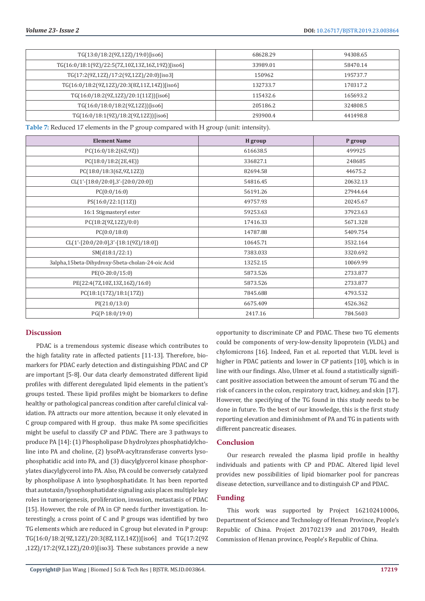| $TG(13:0/18:2(9Z,12Z)/19:0)$ [iso6]                | 68628.29 | 94308.65 |
|----------------------------------------------------|----------|----------|
| $TG(16:0/18:1(9Z)/22:5(7Z,10Z,13Z,16Z,19Z))]$ iso6 | 33989.01 | 58470.14 |
| $TG(17:2(9Z,12Z)/17:2(9Z,12Z)/20:0)$ [iso3]        | 150962   | 195737.7 |
| $TG(16:0/18:2(9Z,12Z)/20:3(8Z,11Z,14Z))$ [iso6]    | 132733.7 | 170317.2 |
| $TG(16:0/18:2(9Z,12Z)/20:1(11Z))$ [iso6]           | 115432.6 | 165693.2 |
| $TG(16:0/18:0/18:2(9Z,12Z))$ [iso6]                | 205186.2 | 324808.5 |
| TG(16:0/18:1(9Z)/18:2(9Z,12Z))[iso6]               | 293900.4 | 441498.8 |

**Table 7:** Reduced 17 elements in the P group compared with H group (unit: intensity).

| <b>Element Name</b>                              | H group  | P group  |
|--------------------------------------------------|----------|----------|
| PC(16:0/18:2(6Z,9Z))                             | 616638.5 | 499925   |
| PC(18:0/18:2(2E,4E))                             | 336827.1 | 248685   |
| PC(18:0/18:3(6Z,9Z,12Z))                         | 82694.58 | 44675.2  |
| $CL(1'-[18:0/20:0],3'-[20:0/20:0])$              | 54816.45 | 20632.13 |
| PC(0:0/16:0)                                     | 56191.26 | 27944.64 |
| PS(16:0/22:1(11Z))                               | 49757.93 | 20245.67 |
| 16:1 Stigmasteryl ester                          | 59253.63 | 37923.63 |
| PC(18:2(9Z,12Z)/0:0)                             | 17416.33 | 5671.328 |
| PC(0:0/18:0)                                     | 14787.88 | 5409.754 |
| $CL(1'-[20:0/20:0],3'-[18:1(9Z)/18:0])$          | 10645.71 | 3532.164 |
| SM(d18:1/22:1)                                   | 7383.033 | 3320.692 |
| 3alpha,15beta-Dihydroxy-5beta-cholan-24-oic Acid | 13252.15 | 10069.99 |
| $PE(0-20:0/15:0)$                                | 5873.526 | 2733.877 |
| PE(22:4(7Z,10Z,13Z,16Z)/16:0)                    | 5873.526 | 2733.877 |
| PC(18:1(17Z)/18:1(17Z))                          | 7845.688 | 4793.532 |
| PI(21:0/13:0)                                    | 6675.409 | 4526.362 |
| $PG(P-18:0/19:0)$                                | 2417.16  | 784.5603 |

# **Discussion**

PDAC is a tremendous systemic disease which contributes to the high fatality rate in affected patients [11-13]. Therefore, biomarkers for PDAC early detection and distinguishing PDAC and CP are important [5-8]. Our data clearly demonstrated different lipid profiles with different deregulated lipid elements in the patient's groups tested. These lipid profiles might be biomarkers to define healthy or pathological pancreas condition after careful clinical validation. PA attracts our more attention, because it only elevated in  $C$  group compared with  $H$  group, thus make PA some specificities might be useful to classify CP and PDAC. There are 3 pathways to produce PA [14]: (1) Phospholipase D hydrolyzes phosphatidylcholine into PA and choline, (2) lysoPA-acyltransferase converts lysophosphatidic acid into PA, and (3) diacylglycerol kinase phosphorylates diacylglycerol into PA. Also, PA could be conversely catalyzed by phospholipase A into lysophosphatidate. It has been reported that autotaxin/lysophosphatidate signaling axis places multiple key roles in tumorigenesis, proliferation, invasion, metastasis of PDAC [15]. However, the role of PA in CP needs further investigation. Interestingly, a cross point of C and P groups was identified by two TG elements which are reduced in C group but elevated in P group: TG(16:0/18:2(9Z,12Z)/20:3(8Z,11Z,14Z))[iso6] and TG(17:2(9Z ,12Z)/17:2(9Z,12Z)/20:0)[iso3]. These substances provide a new

opportunity to discriminate CP and PDAC. These two TG elements could be components of very-low-density lipoprotein (VLDL) and chylomicrons [16]. Indeed, Fan et al. reported that VLDL level is higher in PDAC patients and lower in CP patients [10], which is in line with our findings. Also, Ulmer et al. found a statistically significant positive association between the amount of serum TG and the risk of cancers in the colon, respiratory tract, kidney, and skin [17]. However, the specifying of the TG found in this study needs to be done in future. To the best of our knowledge, this is the first study reporting elevation and diminishment of PA and TG in patients with different pancreatic diseases.

# **Conclusion**

Our research revealed the plasma lipid profile in healthy individuals and patients with CP and PDAC. Altered lipid level provides new possibilities of lipid biomarker pool for pancreas disease detection, surveillance and to distinguish CP and PDAC.

# **Funding**

This work was supported by Project 162102410006, Department of Science and Technology of Henan Province, People's Republic of China. Project 201702139 and 2017049, Health Commission of Henan province, People's Republic of China.